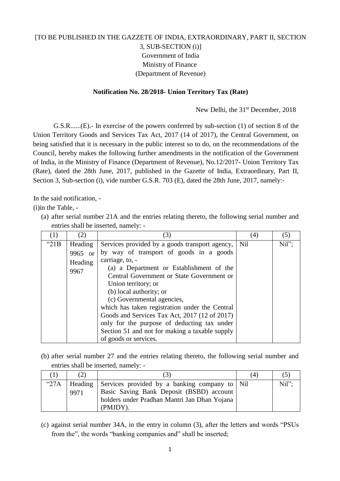## [TO BE PUBLISHED IN THE GAZZETE OF INDIA, EXTRAORDINARY, PART II, SECTION 3, SUB-SECTION (i)] Government of India Ministry of Finance (Department of Revenue)

## **Notification No. 28/2018- Union Territory Tax (Rate)**

New Delhi, the 31<sup>st</sup> December, 2018

G.S.R......(E).- In exercise of the powers conferred by sub-section (1) of section 8 of the Union Territory Goods and Services Tax Act, 2017 (14 of 2017), the Central Government, on being satisfied that it is necessary in the public interest so to do, on the recommendations of the Council, hereby makes the following further amendments in the notification of the Government of India, in the Ministry of Finance (Department of Revenue), No.12/2017- Union Territory Tax (Rate), dated the 28th June, 2017, published in the Gazette of India, Extraordinary, Part II, Section 3, Sub-section (i), vide number G.S.R. 703 (E), dated the 28th June, 2017, namely:-

In the said notification, -

(i)in the Table, -

(a) after serial number 21A and the entries relating thereto, the following serial number and entries shall be inserted, namely: -

| (1)     | (2)     | (3)                                            | (4) | (5)   |
|---------|---------|------------------------------------------------|-----|-------|
| " $21B$ | Heading | Services provided by a goods transport agency, | Nil | Nil"; |
|         | 9965 or | by way of transport of goods in a goods        |     |       |
|         | Heading | carriage, to, -                                |     |       |
|         | 9967    | (a) a Department or Establishment of the       |     |       |
|         |         | Central Government or State Government or      |     |       |
|         |         | Union territory; or                            |     |       |
|         |         | (b) local authority; or                        |     |       |
|         |         | (c) Governmental agencies,                     |     |       |
|         |         | which has taken registration under the Central |     |       |
|         |         | Goods and Services Tax Act, 2017 (12 of 2017)  |     |       |
|         |         | only for the purpose of deducting tax under    |     |       |
|         |         | Section 51 and not for making a taxable supply |     |       |
|         |         | of goods or services.                          |     |       |

(b) after serial number 27 and the entries relating thereto, the following serial number and entries shall be inserted, namely: -

|               |                 |                                                                                                                                                       | (4) |      |
|---------------|-----------------|-------------------------------------------------------------------------------------------------------------------------------------------------------|-----|------|
| $^{\circ}27A$ | Heading<br>9971 | Services provided by a banking company to Nil<br>Basic Saving Bank Deposit (BSBD) account<br>holders under Pradhan Mantri Jan Dhan Yojana<br>(PMJDY). |     | Nil" |

(c) against serial number 34A, in the entry in column (3), after the letters and words "PSUs from the", the words "banking companies and" shall be inserted;